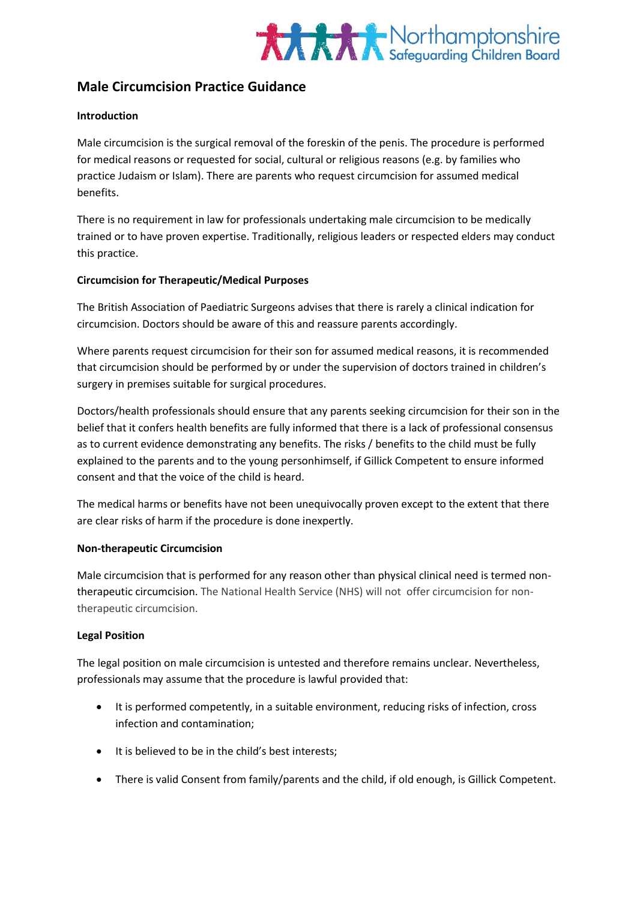

# **Male Circumcision Practice Guidance**

#### **Introduction**

Male circumcision is the surgical removal of the foreskin of the penis. The procedure is performed for medical reasons or requested for social, cultural or religious reasons (e.g. by families who practice Judaism or Islam). There are parents who request circumcision for assumed medical benefits.

There is no requirement in law for professionals undertaking male circumcision to be medically trained or to have proven expertise. Traditionally, religious leaders or respected elders may conduct this practice.

#### **Circumcision for Therapeutic/Medical Purposes**

The British Association of Paediatric Surgeons advises that there is rarely a clinical indication for circumcision. Doctors should be aware of this and reassure parents accordingly.

Where parents request circumcision for their son for assumed medical reasons, it is recommended that circumcision should be performed by or under the supervision of doctors trained in children's surgery in premises suitable for surgical procedures.

Doctors/health professionals should ensure that any parents seeking circumcision for their son in the belief that it confers health benefits are fully informed that there is a lack of professional consensus as to current evidence demonstrating any benefits. The risks / benefits to the child must be fully explained to the parents and to the young personhimself, if Gillick Competent to ensure informed consent and that the voice of the child is heard.

The medical harms or benefits have not been unequivocally proven except to the extent that there are clear risks of harm if the procedure is done inexpertly.

## **Non-therapeutic Circumcision**

Male circumcision that is performed for any reason other than physical clinical need is termed nontherapeutic circumcision. The National Health Service (NHS) will not offer circumcision for nontherapeutic circumcision.

## **Legal Position**

The legal position on male circumcision is untested and therefore remains unclear. Nevertheless, professionals may assume that the procedure is lawful provided that:

- It is performed competently, in a suitable environment, reducing risks of infection, cross infection and contamination;
- It is believed to be in the child's best interests;
- There is valid Consent from family/parents and the child, if old enough, is Gillick Competent.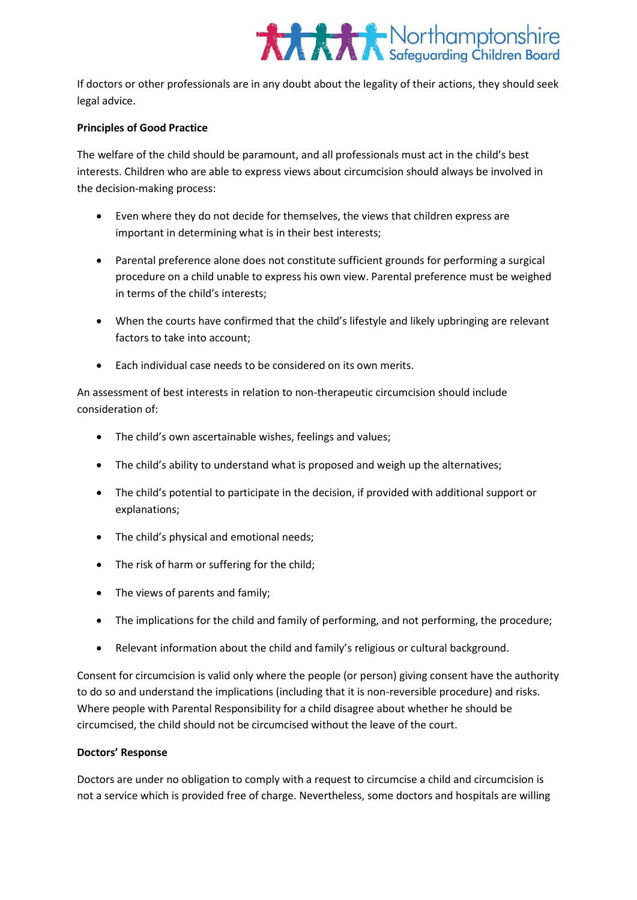

If doctors or other professionals are in any doubt about the legality of their actions, they should seek legal advice.

#### **Principles of Good Practice**

The welfare of the child should be paramount, and all professionals must act in the child's best interests. Children who are able to express views about circumcision should always be involved in the decision-making process:

- Even where they do not decide for themselves, the views that children express are important in determining what is in their best interests;
- Parental preference alone does not constitute sufficient grounds for performing a surgical procedure on a child unable to express his own view. Parental preference must be weighed in terms of the child's interests;
- When the courts have confirmed that the child's lifestyle and likely upbringing are relevant factors to take into account;
- Each individual case needs to be considered on its own merits.

An assessment of best interests in relation to non-therapeutic circumcision should include consideration of:

- The child's own ascertainable wishes, feelings and values;
- The child's ability to understand what is proposed and weigh up the alternatives;
- The child's potential to participate in the decision, if provided with additional support or explanations;
- The child's physical and emotional needs;
- The risk of harm or suffering for the child;
- The views of parents and family;
- The implications for the child and family of performing, and not performing, the procedure;
- Relevant information about the child and family's religious or cultural background.

Consent for circumcision is valid only where the people (or person) giving consent have the authority to do so and understand the implications (including that it is non-reversible procedure) and risks. Where people with Parental Responsibility for a child disagree about whether he should be circumcised, the child should not be circumcised without the leave of the court.

## **Doctors' Response**

Doctors are under no obligation to comply with a request to circumcise a child and circumcision is not a service which is provided free of charge. Nevertheless, some doctors and hospitals are willing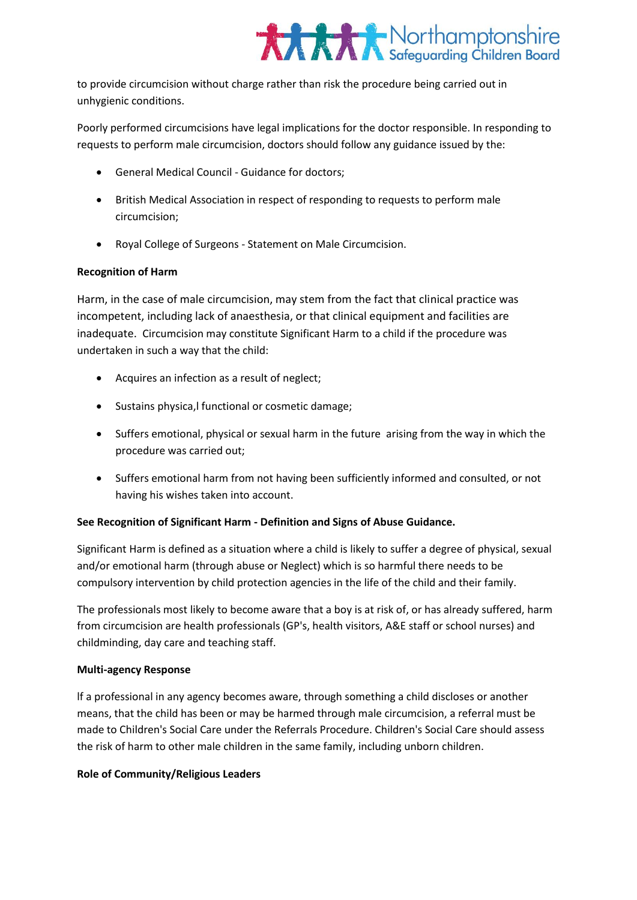

to provide circumcision without charge rather than risk the procedure being carried out in unhygienic conditions.

Poorly performed circumcisions have legal implications for the doctor responsible. In responding to requests to perform male circumcision, doctors should follow any guidance issued by the:

- General Medical Council Guidance for doctors;
- British Medical Association in respect of responding to requests to perform male circumcision;
- Royal College of Surgeons Statement on Male Circumcision.

## **Recognition of Harm**

Harm, in the case of male circumcision, may stem from the fact that clinical practice was incompetent, including lack of anaesthesia, or that clinical equipment and facilities are inadequate. Circumcision may constitute Significant Harm to a child if the procedure was undertaken in such a way that the child:

- Acquires an infection as a result of neglect;
- Sustains physica,l functional or cosmetic damage;
- Suffers emotional, physical or sexual harm in the future arising from the way in which the procedure was carried out;
- Suffers emotional harm from not having been sufficiently informed and consulted, or not having his wishes taken into account.

## **See Recognition of Significant Harm - Definition and Signs of Abuse Guidance.**

Significant Harm is defined as a situation where a child is likely to suffer a degree of physical, sexual and/or emotional harm (through abuse or Neglect) which is so harmful there needs to be compulsory intervention by child protection agencies in the life of the child and their family.

The professionals most likely to become aware that a boy is at risk of, or has already suffered, harm from circumcision are health professionals (GP's, health visitors, A&E staff or school nurses) and childminding, day care and teaching staff.

#### **Multi-agency Response**

lf a professional in any agency becomes aware, through something a child discloses or another means, that the child has been or may be harmed through male circumcision, a referral must be made to Children's Social Care under the Referrals Procedure. Children's Social Care should assess the risk of harm to other male children in the same family, including unborn children.

#### **Role of Community/Religious Leaders**